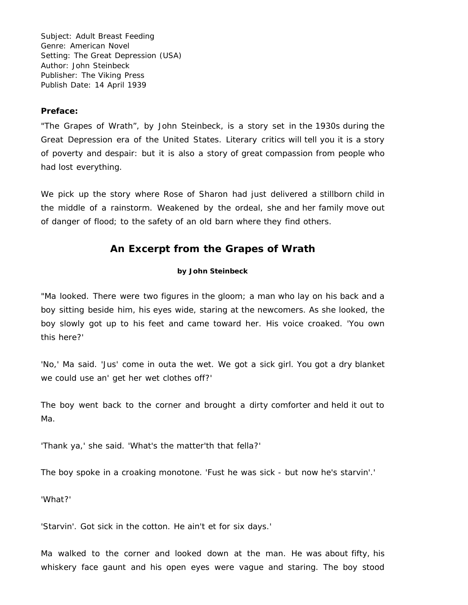Subject: Adult Breast Feeding Genre: American Novel Setting: The Great Depression (USA) Author: John Steinbeck Publisher: The Viking Press Publish Date: 14 April 1939

## **Preface:**

"The Grapes of Wrath", by John Steinbeck, is a story set in the 1930s during the Great Depression era of the United States. Literary critics will tell you it is a story of poverty and despair: but it is also a story of great compassion from people who had lost everything.

We pick up the story where Rose of Sharon had just delivered a stillborn child in the middle of a rainstorm. Weakened by the ordeal, she and her family move out of danger of flood; to the safety of an old barn where they find others.

## **An Excerpt from the Grapes of Wrath**

## **by John Steinbeck**

"Ma looked. There were two figures in the gloom; a man who lay on his back and a boy sitting beside him, his eyes wide, staring at the newcomers. As she looked, the boy slowly got up to his feet and came toward her. His voice croaked. 'You own this here?'

'No,' Ma said. 'Jus' come in outa the wet. We got a sick girl. You got a dry blanket we could use an' get her wet clothes off?'

The boy went back to the corner and brought a dirty comforter and held it out to Ma.

'Thank ya,' she said. 'What's the matter'th that fella?'

The boy spoke in a croaking monotone. 'Fust he was sick - but now he's starvin'.'

'What?'

'Starvin'. Got sick in the cotton. He ain't et for six days.'

Ma walked to the corner and looked down at the man. He was about fifty, his whiskery face gaunt and his open eyes were vague and staring. The boy stood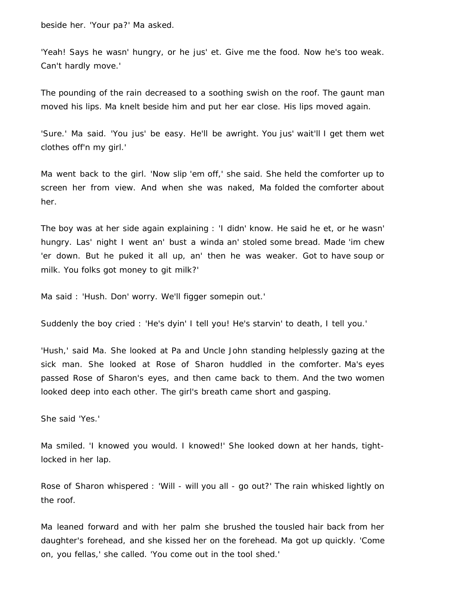beside her. 'Your pa?' Ma asked.

'Yeah! Says he wasn' hungry, or he jus' et. Give me the food. Now he's too weak. Can't hardly move.'

The pounding of the rain decreased to a soothing swish on the roof. The gaunt man moved his lips. Ma knelt beside him and put her ear close. His lips moved again.

'Sure.' Ma said. 'You jus' be easy. He'll be awright. You jus' wait'll I get them wet clothes off'n my girl.'

Ma went back to the girl. 'Now slip 'em off,' she said. She held the comforter up to screen her from view. And when she was naked, Ma folded the comforter about her.

The boy was at her side again explaining : 'I didn' know. He said he et, or he wasn' hungry. Las' night I went an' bust a winda an' stoled some bread. Made 'im chew 'er down. But he puked it all up, an' then he was weaker. Got to have soup or milk. You folks got money to git milk?'

Ma said : 'Hush. Don' worry. We'll figger somepin out.'

Suddenly the boy cried : 'He's dyin' I tell you! He's starvin' to death, I tell you.'

'Hush,' said Ma. She looked at Pa and Uncle John standing helplessly gazing at the sick man. She looked at Rose of Sharon huddled in the comforter. Ma's eyes passed Rose of Sharon's eyes, and then came back to them. And the two women looked deep into each other. The girl's breath came short and gasping.

She said 'Yes.'

Ma smiled. 'I knowed you would. I knowed!' She looked down at her hands, tightlocked in her lap.

Rose of Sharon whispered : 'Will - will you all - go out?' The rain whisked lightly on the roof.

Ma leaned forward and with her palm she brushed the tousled hair back from her daughter's forehead, and she kissed her on the forehead. Ma got up quickly. 'Come on, you fellas,' she called. 'You come out in the tool shed.'